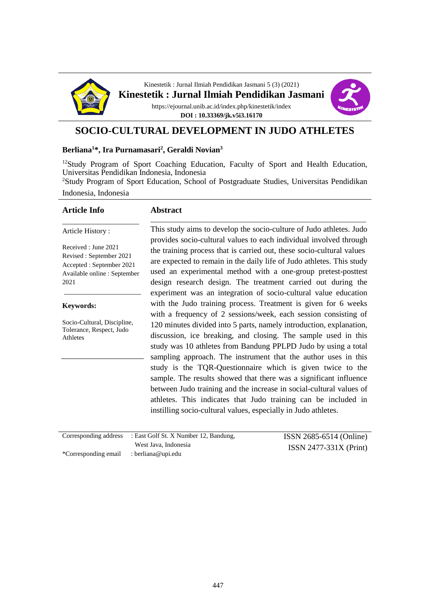

Kinestetik : Jurnal Ilmiah Pendidikan Jasmani 5 (3) (2021) **Kinestetik : Jurnal Ilmiah Pendidikan Jasmani** https://ejournal.unib.ac.id/index.php/kinestetik/index **DOI : 10.33369/jk.v5i3.16170**



### **SOCIO-CULTURAL DEVELOPMENT IN JUDO ATHLETES**

#### **Berliana<sup>1</sup>\*, Ira Purnamasari<sup>2</sup> , Geraldi Novian<sup>3</sup>**

<sup>12</sup>Study Program of Sport Coaching Education, Faculty of Sport and Health Education, Universitas Pendidikan Indonesia, Indonesia

<sup>2</sup>Study Program of Sport Education, School of Postgraduate Studies, Universitas Pendidikan Indonesia, Indonesia

| <b>Article Info</b>                                                                                                  | <b>Abstract</b>                                                                                                                                                                                                                                                                                                                                                                                                                                                                                                                                                                                                         |
|----------------------------------------------------------------------------------------------------------------------|-------------------------------------------------------------------------------------------------------------------------------------------------------------------------------------------------------------------------------------------------------------------------------------------------------------------------------------------------------------------------------------------------------------------------------------------------------------------------------------------------------------------------------------------------------------------------------------------------------------------------|
| Article History:                                                                                                     | This study aims to develop the socio-culture of Judo athletes. Judo                                                                                                                                                                                                                                                                                                                                                                                                                                                                                                                                                     |
| Received : June 2021<br>Revised: September 2021<br>Accepted : September 2021<br>Available online : September<br>2021 | provides socio-cultural values to each individual involved through<br>the training process that is carried out, these socio-cultural values<br>are expected to remain in the daily life of Judo athletes. This study<br>used an experimental method with a one-group pretest-posttest<br>design research design. The treatment carried out during the<br>experiment was an integration of socio-cultural value education                                                                                                                                                                                                |
| Keywords:                                                                                                            | with the Judo training process. Treatment is given for 6 weeks<br>with a frequency of 2 sessions/week, each session consisting of                                                                                                                                                                                                                                                                                                                                                                                                                                                                                       |
| Socio-Cultural, Discipline,<br>Tolerance, Respect, Judo<br>Athletes                                                  | 120 minutes divided into 5 parts, namely introduction, explanation,<br>discussion, ice breaking, and closing. The sample used in this<br>study was 10 athletes from Bandung PPLPD Judo by using a total<br>sampling approach. The instrument that the author uses in this<br>study is the TQR-Questionnaire which is given twice to the<br>sample. The results showed that there was a significant influence<br>between Judo training and the increase in social-cultural values of<br>athletes. This indicates that Judo training can be included in<br>instilling socio-cultural values, especially in Judo athletes. |
|                                                                                                                      |                                                                                                                                                                                                                                                                                                                                                                                                                                                                                                                                                                                                                         |

|                                         | Corresponding address : East Golf St. X Number 12, Bandung, | ISSN 2685-6514 (Online)  |
|-----------------------------------------|-------------------------------------------------------------|--------------------------|
|                                         | West Java, Indonesia                                        | $ISSN 2477-331X (Print)$ |
| *Corresponding email : berliana@upi.edu |                                                             |                          |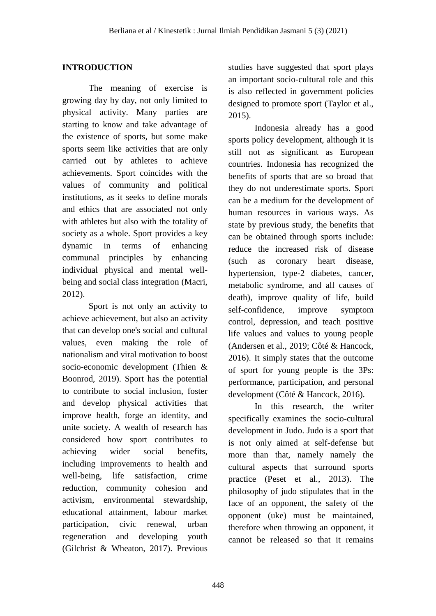## **INTRODUCTION**

The meaning of exercise is growing day by day, not only limited to physical activity. Many parties are starting to know and take advantage of the existence of sports, but some make sports seem like activities that are only carried out by athletes to achieve achievements. Sport coincides with the values of community and political institutions, as it seeks to define morals and ethics that are associated not only with athletes but also with the totality of society as a whole. Sport provides a key dynamic in terms of enhancing communal principles by enhancing individual physical and mental wellbeing and social class integration (Macri, 2012).

Sport is not only an activity to achieve achievement, but also an activity that can develop one's social and cultural values, even making the role of nationalism and viral motivation to boost socio-economic development (Thien & Boonrod, 2019). Sport has the potential to contribute to social inclusion, foster and develop physical activities that improve health, forge an identity, and unite society. A wealth of research has considered how sport contributes to achieving wider social benefits, including improvements to health and well-being, life satisfaction, crime reduction, community cohesion and activism, environmental stewardship, educational attainment, labour market participation, civic renewal, urban regeneration and developing youth (Gilchrist & Wheaton, 2017). Previous

studies have suggested that sport plays an important socio-cultural role and this is also reflected in government policies designed to promote sport (Taylor et al., 2015).

Indonesia already has a good sports policy development, although it is still not as significant as European countries. Indonesia has recognized the benefits of sports that are so broad that they do not underestimate sports. Sport can be a medium for the development of human resources in various ways. As state by previous study, the benefits that can be obtained through sports include: reduce the increased risk of disease (such as coronary heart disease, hypertension, type-2 diabetes, cancer, metabolic syndrome, and all causes of death), improve quality of life, build self-confidence, improve symptom control, depression, and teach positive life values and values to young people (Andersen et al., 2019; Côté & Hancock, 2016). It simply states that the outcome of sport for young people is the 3Ps: performance, participation, and personal development (Côté & Hancock, 2016).

In this research, the writer specifically examines the socio-cultural development in Judo. Judo is a sport that is not only aimed at self-defense but more than that, namely namely the cultural aspects that surround sports practice (Peset et al., 2013). The philosophy of judo stipulates that in the face of an opponent, the safety of the opponent (uke) must be maintained, therefore when throwing an opponent, it cannot be released so that it remains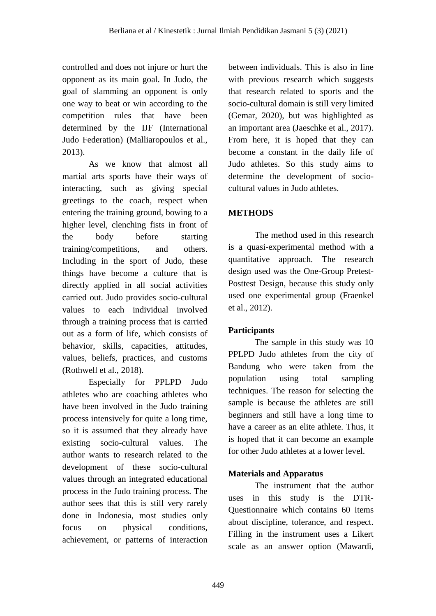controlled and does not injure or hurt the opponent as its main goal. In Judo, the goal of slamming an opponent is only one way to beat or win according to the competition rules that have been determined by the IJF (International Judo Federation) (Malliaropoulos et al., 2013).

As we know that almost all martial arts sports have their ways of interacting, such as giving special greetings to the coach, respect when entering the training ground, bowing to a higher level, clenching fists in front of the body before starting training/competitions, and others. Including in the sport of Judo, these things have become a culture that is directly applied in all social activities carried out. Judo provides socio-cultural values to each individual involved through a training process that is carried out as a form of life, which consists of behavior, skills, capacities, attitudes, values, beliefs, practices, and customs (Rothwell et al., 2018).

Especially for PPLPD Judo athletes who are coaching athletes who have been involved in the Judo training process intensively for quite a long time, so it is assumed that they already have existing socio-cultural values. The author wants to research related to the development of these socio-cultural values through an integrated educational process in the Judo training process. The author sees that this is still very rarely done in Indonesia, most studies only focus on physical conditions, achievement, or patterns of interaction

between individuals. This is also in line with previous research which suggests that research related to sports and the socio-cultural domain is still very limited (Gemar, 2020), but was highlighted as an important area (Jaeschke et al., 2017). From here, it is hoped that they can become a constant in the daily life of Judo athletes. So this study aims to determine the development of sociocultural values in Judo athletes.

# **METHODS**

The method used in this research is a quasi-experimental method with a quantitative approach. The research design used was the One-Group Pretest-Posttest Design, because this study only used one experimental group (Fraenkel et al., 2012).

## **Participants**

The sample in this study was 10 PPLPD Judo athletes from the city of Bandung who were taken from the population using total sampling techniques. The reason for selecting the sample is because the athletes are still beginners and still have a long time to have a career as an elite athlete. Thus, it is hoped that it can become an example for other Judo athletes at a lower level.

## **Materials and Apparatus**

The instrument that the author uses in this study is the DTR-Questionnaire which contains 60 items about discipline, tolerance, and respect. Filling in the instrument uses a Likert scale as an answer option (Mawardi,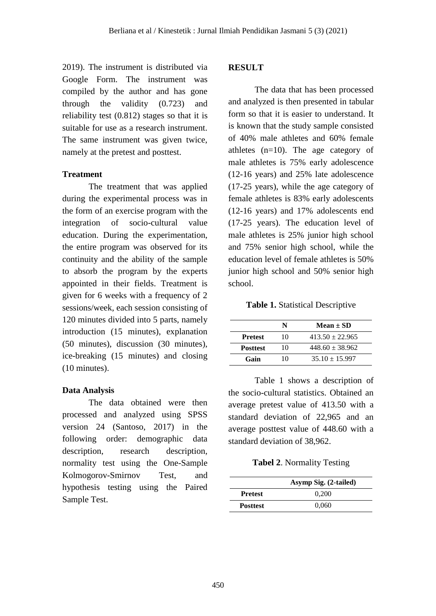2019). The instrument is distributed via Google Form. The instrument was compiled by the author and has gone through the validity (0.723) and reliability test (0.812) stages so that it is suitable for use as a research instrument. The same instrument was given twice, namely at the pretest and posttest.

#### **Treatment**

The treatment that was applied during the experimental process was in the form of an exercise program with the integration of socio-cultural value education. During the experimentation, the entire program was observed for its continuity and the ability of the sample to absorb the program by the experts appointed in their fields. Treatment is given for 6 weeks with a frequency of 2 sessions/week, each session consisting of 120 minutes divided into 5 parts, namely introduction (15 minutes), explanation (50 minutes), discussion (30 minutes), ice-breaking (15 minutes) and closing (10 minutes).

#### **Data Analysis**

The data obtained were then processed and analyzed using SPSS version 24 (Santoso, 2017) in the following order: demographic data description, research description, normality test using the One-Sample Kolmogorov-Smirnov Test, and hypothesis testing using the Paired Sample Test.

### **RESULT**

The data that has been processed and analyzed is then presented in tabular form so that it is easier to understand. It is known that the study sample consisted of 40% male athletes and 60% female athletes (n=10). The age category of male athletes is 75% early adolescence (12-16 years) and 25% late adolescence (17-25 years), while the age category of female athletes is 83% early adolescents (12-16 years) and 17% adolescents end (17-25 years). The education level of male athletes is 25% junior high school and 75% senior high school, while the education level of female athletes is 50% junior high school and 50% senior high school.

**Table 1.** Statistical Descriptive

|                 | N  | Mean $\pm$ SD       |
|-----------------|----|---------------------|
| <b>Prefest</b>  | 10 | $413.50 + 22.965$   |
| <b>Posttest</b> | 10 | $448.60 \pm 38.962$ |
| Gain            | 10 | $35.10 \pm 15.997$  |

Table 1 shows a description of the socio-cultural statistics. Obtained an average pretest value of 413.50 with a standard deviation of 22,965 and an average posttest value of 448.60 with a standard deviation of 38,962.

## **Tabel 2**. Normality Testing

|                 | Asymp Sig. (2-tailed) |
|-----------------|-----------------------|
| <b>Pretest</b>  | 0.200                 |
| <b>Posttest</b> | 0,060                 |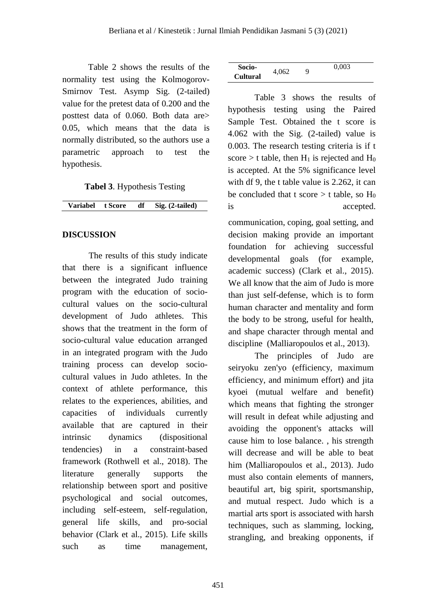Table 2 shows the results of the normality test using the Kolmogorov-Smirnov Test. Asymp Sig. (2-tailed) value for the pretest data of 0.200 and the posttest data of 0.060. Both data are> 0.05, which means that the data is normally distributed, so the authors use a parametric approach to test the hypothesis.

**Tabel 3**. Hypothesis Testing

#### **DISCUSSION**

The results of this study indicate that there is a significant influence between the integrated Judo training program with the education of sociocultural values on the socio-cultural development of Judo athletes. This shows that the treatment in the form of socio-cultural value education arranged in an integrated program with the Judo training process can develop sociocultural values in Judo athletes. In the context of athlete performance, this relates to the experiences, abilities, and capacities of individuals currently available that are captured in their intrinsic dynamics (dispositional tendencies) in a constraint-based framework (Rothwell et al., 2018). The literature generally supports the relationship between sport and positive psychological and social outcomes, including self-esteem, self-regulation, general life skills, and pro-social behavior (Clark et al., 2015). Life skills such as time management,

| Socio-          |       | Q | 0,003 |  |
|-----------------|-------|---|-------|--|
| <b>Cultural</b> | 4,062 |   |       |  |

Table 3 shows the results of hypothesis testing using the Paired Sample Test. Obtained the t score is 4.062 with the Sig. (2-tailed) value is 0.003. The research testing criteria is if t score  $>$  t table, then H<sub>1</sub> is rejected and H<sub>0</sub> is accepted. At the 5% significance level with df 9, the t table value is 2.262, it can be concluded that t score  $>$  t table, so H<sub>0</sub> is accepted.

communication, coping, goal setting, and decision making provide an important foundation for achieving successful developmental goals (for example, academic success) (Clark et al., 2015). We all know that the aim of Judo is more than just self-defense, which is to form human character and mentality and form the body to be strong, useful for health, and shape character through mental and discipline (Malliaropoulos et al., 2013).

The principles of Judo are seiryoku zen'yo (efficiency, maximum efficiency, and minimum effort) and jita kyoei (mutual welfare and benefit) which means that fighting the stronger will result in defeat while adjusting and avoiding the opponent's attacks will cause him to lose balance. , his strength will decrease and will be able to beat him (Malliaropoulos et al., 2013). Judo must also contain elements of manners, beautiful art, big spirit, sportsmanship, and mutual respect. Judo which is a martial arts sport is associated with harsh techniques, such as slamming, locking, strangling, and breaking opponents, if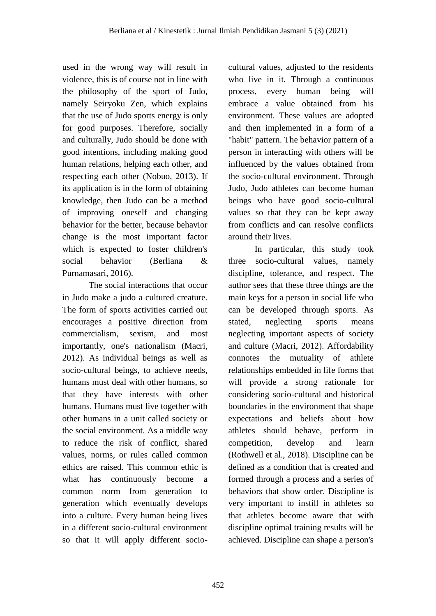used in the wrong way will result in violence, this is of course not in line with the philosophy of the sport of Judo, namely Seiryoku Zen, which explains that the use of Judo sports energy is only for good purposes. Therefore, socially and culturally, Judo should be done with good intentions, including making good human relations, helping each other, and respecting each other (Nobuo, 2013). If its application is in the form of obtaining knowledge, then Judo can be a method of improving oneself and changing behavior for the better, because behavior change is the most important factor which is expected to foster children's social behavior (Berliana & Purnamasari, 2016).

The social interactions that occur in Judo make a judo a cultured creature. The form of sports activities carried out encourages a positive direction from commercialism, sexism, and most importantly, one's nationalism (Macri, 2012). As individual beings as well as socio-cultural beings, to achieve needs, humans must deal with other humans, so that they have interests with other humans. Humans must live together with other humans in a unit called society or the social environment. As a middle way to reduce the risk of conflict, shared values, norms, or rules called common ethics are raised. This common ethic is what has continuously become a common norm from generation to generation which eventually develops into a culture. Every human being lives in a different socio-cultural environment so that it will apply different sociocultural values, adjusted to the residents who live in it. Through a continuous process, every human being will embrace a value obtained from his environment. These values are adopted and then implemented in a form of a "habit" pattern. The behavior pattern of a person in interacting with others will be influenced by the values obtained from the socio-cultural environment. Through Judo, Judo athletes can become human beings who have good socio-cultural values so that they can be kept away from conflicts and can resolve conflicts around their lives.

In particular, this study took three socio-cultural values, namely discipline, tolerance, and respect. The author sees that these three things are the main keys for a person in social life who can be developed through sports. As stated, neglecting sports means neglecting important aspects of society and culture (Macri, 2012). Affordability connotes the mutuality of athlete relationships embedded in life forms that will provide a strong rationale for considering socio-cultural and historical boundaries in the environment that shape expectations and beliefs about how athletes should behave, perform in competition, develop and learn (Rothwell et al., 2018). Discipline can be defined as a condition that is created and formed through a process and a series of behaviors that show order. Discipline is very important to instill in athletes so that athletes become aware that with discipline optimal training results will be achieved. Discipline can shape a person's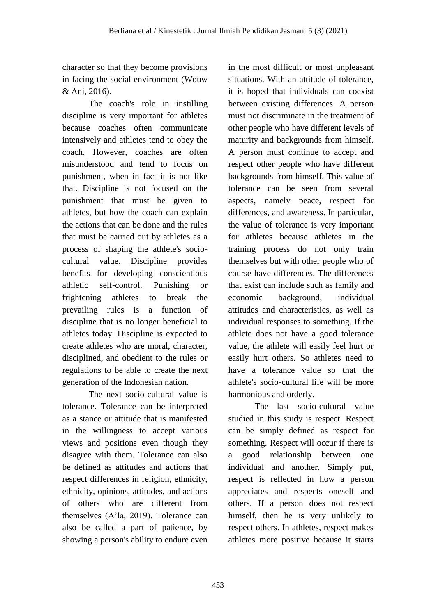character so that they become provisions in facing the social environment (Wouw & Ani, 2016).

The coach's role in instilling discipline is very important for athletes because coaches often communicate intensively and athletes tend to obey the coach. However, coaches are often misunderstood and tend to focus on punishment, when in fact it is not like that. Discipline is not focused on the punishment that must be given to athletes, but how the coach can explain the actions that can be done and the rules that must be carried out by athletes as a process of shaping the athlete's sociocultural value. Discipline provides benefits for developing conscientious athletic self-control. Punishing or frightening athletes to break the prevailing rules is a function of discipline that is no longer beneficial to athletes today. Discipline is expected to create athletes who are moral, character, disciplined, and obedient to the rules or regulations to be able to create the next generation of the Indonesian nation.

The next socio-cultural value is tolerance. Tolerance can be interpreted as a stance or attitude that is manifested in the willingness to accept various views and positions even though they disagree with them. Tolerance can also be defined as attitudes and actions that respect differences in religion, ethnicity, ethnicity, opinions, attitudes, and actions of others who are different from themselves (A'la, 2019). Tolerance can also be called a part of patience, by showing a person's ability to endure even

in the most difficult or most unpleasant situations. With an attitude of tolerance, it is hoped that individuals can coexist between existing differences. A person must not discriminate in the treatment of other people who have different levels of maturity and backgrounds from himself. A person must continue to accept and respect other people who have different backgrounds from himself. This value of tolerance can be seen from several aspects, namely peace, respect for differences, and awareness. In particular, the value of tolerance is very important for athletes because athletes in the training process do not only train themselves but with other people who of course have differences. The differences that exist can include such as family and economic background, individual attitudes and characteristics, as well as individual responses to something. If the athlete does not have a good tolerance value, the athlete will easily feel hurt or easily hurt others. So athletes need to have a tolerance value so that the athlete's socio-cultural life will be more harmonious and orderly.

The last socio-cultural value studied in this study is respect. Respect can be simply defined as respect for something. Respect will occur if there is a good relationship between one individual and another. Simply put, respect is reflected in how a person appreciates and respects oneself and others. If a person does not respect himself, then he is very unlikely to respect others. In athletes, respect makes athletes more positive because it starts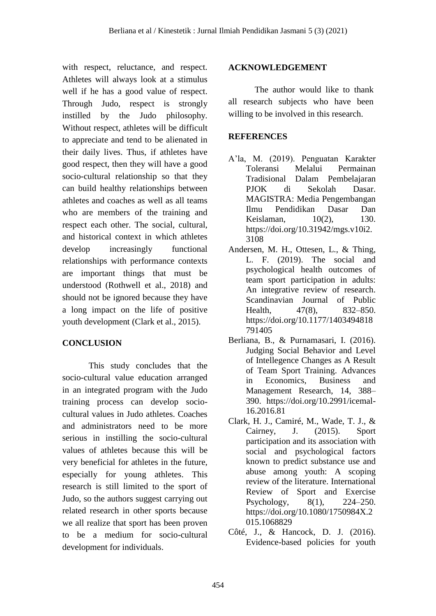with respect, reluctance, and respect. Athletes will always look at a stimulus well if he has a good value of respect. Through Judo, respect is strongly instilled by the Judo philosophy. Without respect, athletes will be difficult to appreciate and tend to be alienated in their daily lives. Thus, if athletes have good respect, then they will have a good socio-cultural relationship so that they can build healthy relationships between athletes and coaches as well as all teams who are members of the training and respect each other. The social, cultural, and historical context in which athletes develop increasingly functional relationships with performance contexts are important things that must be understood (Rothwell et al., 2018) and should not be ignored because they have a long impact on the life of positive youth development (Clark et al., 2015).

## **CONCLUSION**

This study concludes that the socio-cultural value education arranged in an integrated program with the Judo training process can develop sociocultural values in Judo athletes. Coaches and administrators need to be more serious in instilling the socio-cultural values of athletes because this will be very beneficial for athletes in the future, especially for young athletes. This research is still limited to the sport of Judo, so the authors suggest carrying out related research in other sports because we all realize that sport has been proven to be a medium for socio-cultural development for individuals.

### **ACKNOWLEDGEMENT**

The author would like to thank all research subjects who have been willing to be involved in this research.

### **REFERENCES**

- A'la, M. (2019). Penguatan Karakter Toleransi Melalui Permainan Tradisional Dalam Pembelajaran PJOK di Sekolah Dasar. MAGISTRA: Media Pengembangan Ilmu Pendidikan Dasar Dan Keislaman, 10(2), 130. https://doi.org/10.31942/mgs.v10i2. 3108
- Andersen, M. H., Ottesen, L., & Thing, L. F. (2019). The social and psychological health outcomes of team sport participation in adults: An integrative review of research. Scandinavian Journal of Public Health. 47(8), 832–850. https://doi.org/10.1177/1403494818 791405
- Berliana, B., & Purnamasari, I. (2016). Judging Social Behavior and Level of Intellegence Changes as A Result of Team Sport Training. Advances in Economics, Business and Management Research, 14, 388– 390. https://doi.org/10.2991/icemal-16.2016.81
- Clark, H. J., Camiré, M., Wade, T. J., & Cairney, J. (2015). Sport participation and its association with social and psychological factors known to predict substance use and abuse among youth: A scoping review of the literature. International Review of Sport and Exercise Psychology, 8(1), 224–250. https://doi.org/10.1080/1750984X.2 015.1068829
- Côté, J., & Hancock, D. J. (2016). Evidence-based policies for youth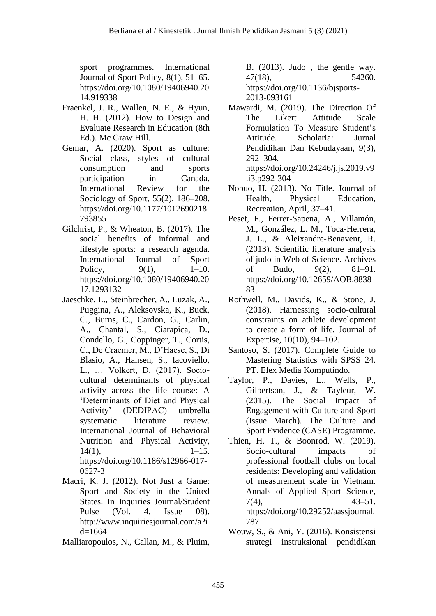sport programmes. International Journal of Sport Policy, 8(1), 51–65. https://doi.org/10.1080/19406940.20 14.919338

- Fraenkel, J. R., Wallen, N. E., & Hyun, H. H. (2012). How to Design and Evaluate Research in Education (8th Ed.). Mc Graw Hill.
- Gemar, A. (2020). Sport as culture: Social class, styles of cultural consumption and sports participation in Canada. International Review for the Sociology of Sport, 55(2), 186–208. https://doi.org/10.1177/1012690218 793855
- Gilchrist, P., & Wheaton, B. (2017). The social benefits of informal and lifestyle sports: a research agenda. International Journal of Sport Policy, 9(1), 1–10. https://doi.org/10.1080/19406940.20 17.1293132
- Jaeschke, L., Steinbrecher, A., Luzak, A., Puggina, A., Aleksovska, K., Buck, C., Burns, C., Cardon, G., Carlin, A., Chantal, S., Ciarapica, D., Condello, G., Coppinger, T., Cortis, C., De Craemer, M., D'Haese, S., Di Blasio, A., Hansen, S., Iacoviello, L., … Volkert, D. (2017). Sociocultural determinants of physical activity across the life course: A 'Determinants of Diet and Physical Activity' (DEDIPAC) umbrella systematic literature review. International Journal of Behavioral Nutrition and Physical Activity,  $14(1)$ ,  $1-15$ . https://doi.org/10.1186/s12966-017- 0627-3
- Macri, K. J. (2012). Not Just a Game: Sport and Society in the United States. In Inquiries Journal/Student Pulse (Vol. 4, Issue 08). http://www.inquiriesjournal.com/a?i d=1664
- Malliaropoulos, N., Callan, M., & Pluim,

B. (2013). Judo , the gentle way. 47(18), 54260. https://doi.org/10.1136/bjsports-2013-093161

- Mawardi, M. (2019). The Direction Of The Likert Attitude Scale Formulation To Measure Student's Attitude. Scholaria: Jurnal Pendidikan Dan Kebudayaan, 9(3), 292–304. https://doi.org/10.24246/j.js.2019.v9
- .i3.p292-304 Nobuo, H. (2013). No Title. Journal of Health, Physical Education, Recreation, April, 37–41.
- Peset, F., Ferrer-Sapena, A., Villamón, M., González, L. M., Toca-Herrera, J. L., & Aleixandre-Benavent, R. (2013). Scientific literature analysis of judo in Web of Science. Archives of Budo, 9(2), 81–91. https://doi.org/10.12659/AOB.8838 83
- Rothwell, M., Davids, K., & Stone, J. (2018). Harnessing socio-cultural constraints on athlete development to create a form of life. Journal of Expertise, 10(10), 94–102.
- Santoso, S. (2017). Complete Guide to Mastering Statistics with SPSS 24. PT. Elex Media Komputindo.
- Taylor, P., Davies, L., Wells, P., Gilbertson, J., & Tayleur, W. (2015). The Social Impact of Engagement with Culture and Sport (Issue March). The Culture and Sport Evidence (CASE) Programme.
- Thien, H. T., & Boonrod, W. (2019). Socio-cultural impacts of professional football clubs on local residents: Developing and validation of measurement scale in Vietnam. Annals of Applied Sport Science,  $7(4)$ ,  $43-51$ . https://doi.org/10.29252/aassjournal. 787
- Wouw, S., & Ani, Y. (2016). Konsistensi strategi instruksional pendidikan